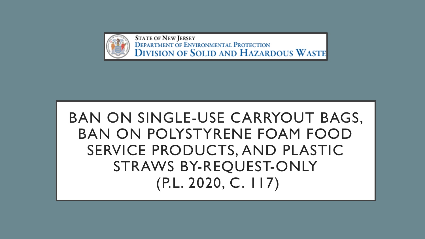

**STATE OF NEW JERSEY DEPARTMENT OF ENVIRONMENTAL PROTECTION DIVISION OF SOLID AND HAZARDOUS WASTE** 

# BAN ON SINGLE-USE CARRYOUT BAGS, BAN ON POLYSTYRENE FOAM FOOD SERVICE PRODUCTS, AND PLASTIC STRAWS BY-REQUEST-ONLY (P.L. 2020, C. 117)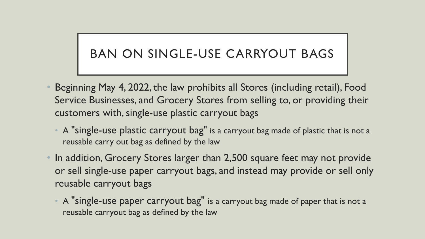## BAN ON SINGLE-USE CARRYOUT BAGS

- Beginning May 4, 2022, the law prohibits all Stores (including retail), Food Service Businesses, and Grocery Stores from selling to, or providing their customers with, single-use plastic carryout bags
	- A "single-use plastic carryout bag" is a carryout bag made of plastic that is not a reusable carry out bag as defined by the law
- In addition, Grocery Stores larger than 2,500 square feet may not provide or sell single-use paper carryout bags, and instead may provide or sell only reusable carryout bags
	- A "single-use paper carryout bag" is a carryout bag made of paper that is not a reusable carryout bag as defined by the law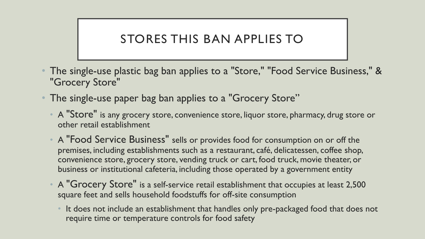#### STORES THIS BAN APPLIES TO

- The single-use plastic bag ban applies to a "Store," "Food Service Business," & "Grocery Store"
- The single-use paper bag ban applies to a "Grocery Store"
	- A "Store" is any grocery store, convenience store, liquor store, pharmacy, drug store or other retail establishment
	- A "Food Service Business" sells or provides food for consumption on or off the premises, including establishments such as a restaurant, café, delicatessen, coffee shop, convenience store, grocery store, vending truck or cart, food truck, movie theater, or business or institutional cafeteria, including those operated by a government entity
	- A "Grocery Store" is a self-service retail establishment that occupies at least 2,500 square feet and sells household foodstuffs for off-site consumption
		- It does not include an establishment that handles only pre-packaged food that does not require time or temperature controls for food safety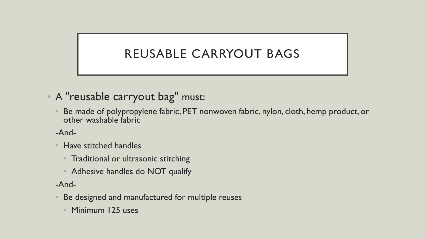## REUSABLE CARRYOUT BAGS

- A "reusable carryout bag" must:
	- Be made of polypropylene fabric, PET nonwoven fabric, nylon, cloth, hemp product, or other washable fabric

-And-

- Have stitched handles
	- Traditional or ultrasonic stitching
	- Adhesive handles do NOT qualify

-And-

- Be designed and manufactured for multiple reuses
	- Minimum 125 uses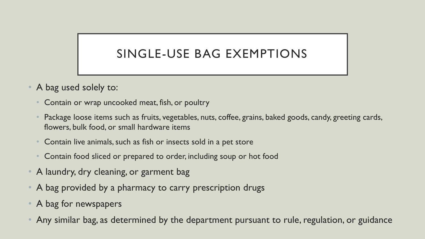## SINGLE-USE BAG EXEMPTIONS

- A bag used solely to:
	- Contain or wrap uncooked meat, fish, or poultry
	- Package loose items such as fruits, vegetables, nuts, coffee, grains, baked goods, candy, greeting cards, flowers, bulk food, or small hardware items
	- Contain live animals, such as fish or insects sold in a pet store
	- Contain food sliced or prepared to order, including soup or hot food
- A laundry, dry cleaning, or garment bag
- A bag provided by a pharmacy to carry prescription drugs
- A bag for newspapers
- Any similar bag, as determined by the department pursuant to rule, regulation, or guidance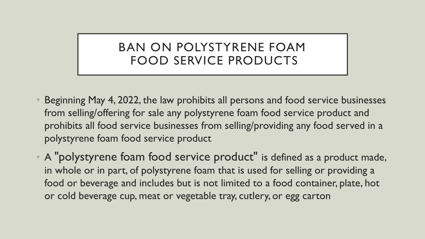#### BAN ON POLYSTYRENE FOAM FOOD SERVICE PRODUCTS

- Beginning May 4, 2022, the law prohibits all persons and food service businesses from selling/offering for sale any polystyrene foam food service product and prohibits all food service businesses from selling/providing any food served in a polystyrene foam food service product
- A "polystyrene foam food service product" is defined as a product made, in whole or in part, of polystyrene foam that is used for selling or providing a food or beverage and includes but is not limited to a food container, plate, hot or cold beverage cup, meat or vegetable tray, cutlery, or egg carton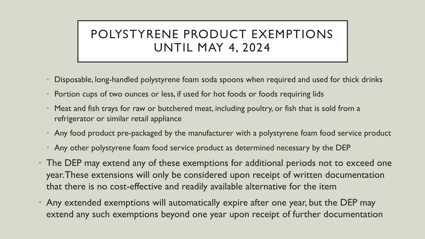## POLYSTYRENE PRODUCT EXEMPTIONS UNTIL MAY 4, 2024

- Disposable, long-handled polystyrene foam soda spoons when required and used for thick drinks
- Portion cups of two ounces or less, if used for hot foods or foods requiring lids
- Meat and fish trays for raw or butchered meat, including poultry, or fish that is sold from a refrigerator or similar retail appliance
- Any food product pre-packaged by the manufacturer with a polystyrene foam food service product
- Any other polystyrene foam food service product as determined necessary by the DEP
- The DEP may extend any of these exemptions for additional periods not to exceed one year. These extensions will only be considered upon receipt of written documentation that there is no cost-effective and readily available alternative for the item
- Any extended exemptions will automatically expire after one year, but the DEP may extend any such exemptions beyond one year upon receipt of further documentation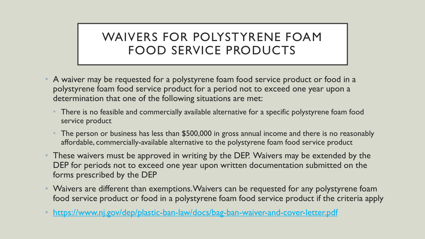#### WAIVERS FOR POLYSTYRENE FOAM FOOD SERVICE PRODUCTS

- A waiver may be requested for a polystyrene foam food service product or food in a polystyrene foam food service product for a period not to exceed one year upon a determination that one of the following situations are met:
	- There is no feasible and commercially available alternative for a specific polystyrene foam food service product
	- The person or business has less than \$500,000 in gross annual income and there is no reasonably affordable, commercially-available alternative to the polystyrene foam food service product
- These waivers must be approved in writing by the DEP. Waivers may be extended by the DEP for periods not to exceed one year upon written documentation submitted on the forms prescribed by the DEP
- Waivers are different than exemptions. Waivers can be requested for any polystyrene foam food service product or food in a polystyrene foam food service product if the criteria apply
- <https://www.nj.gov/dep/plastic-ban-law/docs/bag-ban-waiver-and-cover-letter.pdf>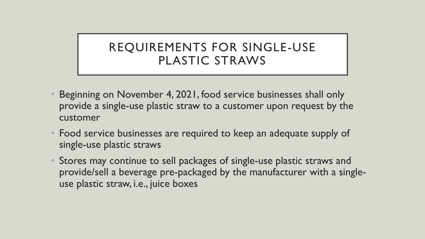#### REQUIREMENTS FOR SINGLE-USE PLASTIC STRAWS

- Beginning on November 4, 2021, food service businesses shall only provide a single-use plastic straw to a customer upon request by the customer
- Food service businesses are required to keep an adequate supply of single-use plastic straws
- Stores may continue to sell packages of single-use plastic straws and provide/sell a beverage pre-packaged by the manufacturer with a singleuse plastic straw, i.e., juice boxes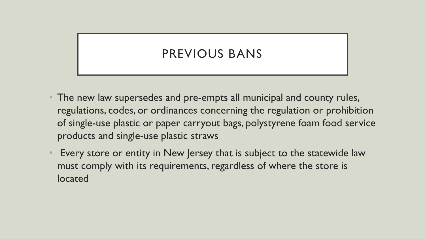### PREVIOUS BANS

- The new law supersedes and pre-empts all municipal and county rules, regulations, codes, or ordinances concerning the regulation or prohibition of single-use plastic or paper carryout bags, polystyrene foam food service products and single-use plastic straws
- Every store or entity in New Jersey that is subject to the statewide law must comply with its requirements, regardless of where the store is located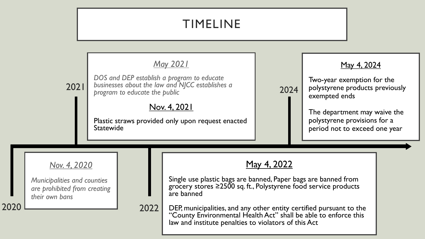## TIMELINE

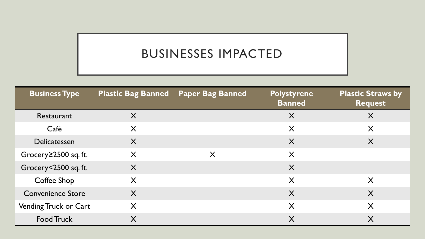## BUSINESSES IMPACTED

| <b>Business Type</b>     | <b>Plastic Bag Banned</b> Paper Bag Banned |   | <b>Polystyrene</b><br><b>Banned</b> | <b>Plastic Straws by</b><br><b>Request</b> |
|--------------------------|--------------------------------------------|---|-------------------------------------|--------------------------------------------|
| Restaurant               | X                                          |   | X                                   | X                                          |
| Café                     | X                                          |   | X                                   | X                                          |
| Delicatessen             | X                                          |   | X                                   | X                                          |
| Grocery≥2500 sq. ft.     | X                                          | X | X                                   |                                            |
| Grocery<2500 sq. ft.     | X                                          |   | X                                   |                                            |
| Coffee Shop              | X                                          |   | X                                   | X                                          |
| <b>Convenience Store</b> | X                                          |   | X                                   | $\boldsymbol{\mathsf{X}}$                  |
| Vending Truck or Cart    | X                                          |   | X                                   | X                                          |
| <b>Food Truck</b>        | X                                          |   | X                                   | X                                          |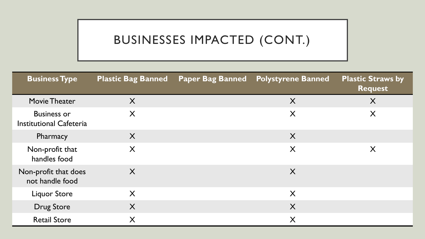## BUSINESSES IMPACTED (CONT.)

| <b>Business Type</b>                                 | <b>Plastic Bag Banned</b> | <b>Paper Bag Banned Polystyrene Banned</b> | <b>Plastic Straws by</b><br><b>Request</b> |
|------------------------------------------------------|---------------------------|--------------------------------------------|--------------------------------------------|
| <b>Movie Theater</b>                                 | X                         | X                                          | $\sf X$                                    |
| <b>Business or</b><br><b>Institutional Cafeteria</b> | X                         | X                                          | X                                          |
| Pharmacy                                             | X                         | X                                          |                                            |
| Non-profit that<br>handles food                      | X                         | X                                          | X                                          |
| Non-profit that does<br>not handle food              | X                         | X                                          |                                            |
| <b>Liquor Store</b>                                  | X                         | X                                          |                                            |
| <b>Drug Store</b>                                    | X                         | X                                          |                                            |
| <b>Retail Store</b>                                  | X                         | X                                          |                                            |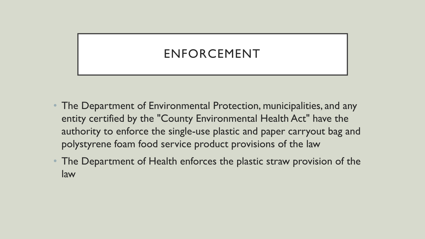## ENFORCEMENT

- The Department of Environmental Protection, municipalities, and any entity certified by the "County Environmental Health Act" have the authority to enforce the single-use plastic and paper carryout bag and polystyrene foam food service product provisions of the law
- The Department of Health enforces the plastic straw provision of the law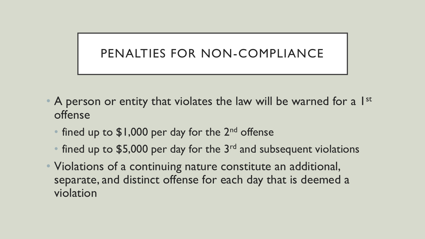### PENALTIES FOR NON-COMPLIANCE

- A person or entity that violates the law will be warned for a 1st offense
	- fined up to  $$1,000$  per day for the 2<sup>nd</sup> offense
	- fined up to \$5,000 per day for the  $3<sup>rd</sup>$  and subsequent violations
- Violations of a continuing nature constitute an additional, separate, and distinct offense for each day that is deemed a violation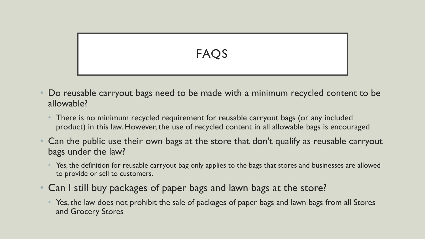# FAOS

- Do reusable carryout bags need to be made with a minimum recycled content to be allowable?
	- There is no minimum recycled requirement for reusable carryout bags (or any included product) in this law. However, the use of recycled content in all allowable bags is encouraged
- Can the public use their own bags at the store that don't qualify as reusable carryout bags under the law?
	- Yes, the definition for reusable carryout bag only applies to the bags that stores and businesses are allowed to provide or sell to customers.
- Can I still buy packages of paper bags and lawn bags at the store?
	- Yes, the law does not prohibit the sale of packages of paper bags and lawn bags from all Stores and Grocery Stores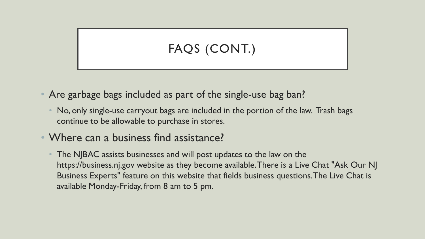# FAQS (CONT.)

- Are garbage bags included as part of the single-use bag ban?
	- No, only single-use carryout bags are included in the portion of the law. Trash bags continue to be allowable to purchase in stores.
- Where can a business find assistance?
	- The NJBAC assists businesses and will post updates to the law on the https://business.nj.gov website as they become available. There is a Live Chat "Ask Our NJ Business Experts" feature on this website that fields business questions. The Live Chat is available Monday-Friday, from 8 am to 5 pm.